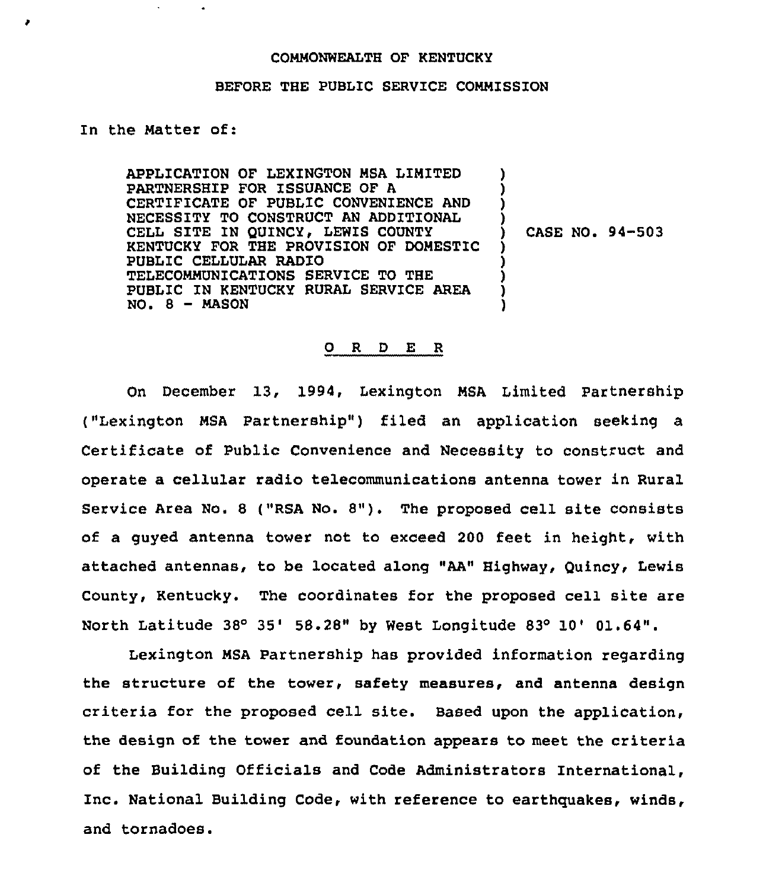### COMMONWEALTH OF KENTUCKY

#### BEFORE THE PUBLIC SERVICE COMMISSION

### In the Natter of:

APPLICATION OF LEXINGTON NSA LIMITED PARTNERSHIP FOR ISSUANCE OF A CERTIFICATE OF PUBLIC CONVENIENCE AND NECESSITY TO CONSTRUCT AN ADDITIONAL CELL SITE IN QUINCY, LEWIS COUNTY KENTUCKY FOR THE PROVISION OF DOMESTIC PUBLIC CELLULAR RADIO TELECOMMUNICATIONS SERVICE TO THE PUBLIC IN KENTUCKY RURAL SERVICE AREA  $NO. 8 - MASON$ ) ) ) ) ) ) ) ) )

) CASE NO. 94-503

## 0 R <sup>D</sup> E R

On December 13, 1994, Lexington NSA Limited Partnership ("Lexington MSA Partnership") filed an application seeking a Certificate of Public Convenience and Necessity to construct and operate a cellular radio telecommunications antenna tower in Rural Service Area No. <sup>8</sup> ("RSA No. 8"). The proposed cell site consists of a guyed antenna tower not to exceed 200 feet in height, with attached antennas, to be located along "AA" Highway, Quincy, Lewis County, Kentucky. The coordinates for the proposed cell site are North Latitude  $38^{\circ}$  35' 58.28" by West Longitude  $83^{\circ}$  10' 01.64".

Lexington NSA Partnership has provided information regarding the structure of the tower, safety measures, and antenna design criteria for the proposed cell site. Based upon the application, the design of the tower and foundation appears to meet the criteria of the Building Officials and Code Administrators International, Inc. National Building Code, with reference to earthquakes, winds, and tornadoes.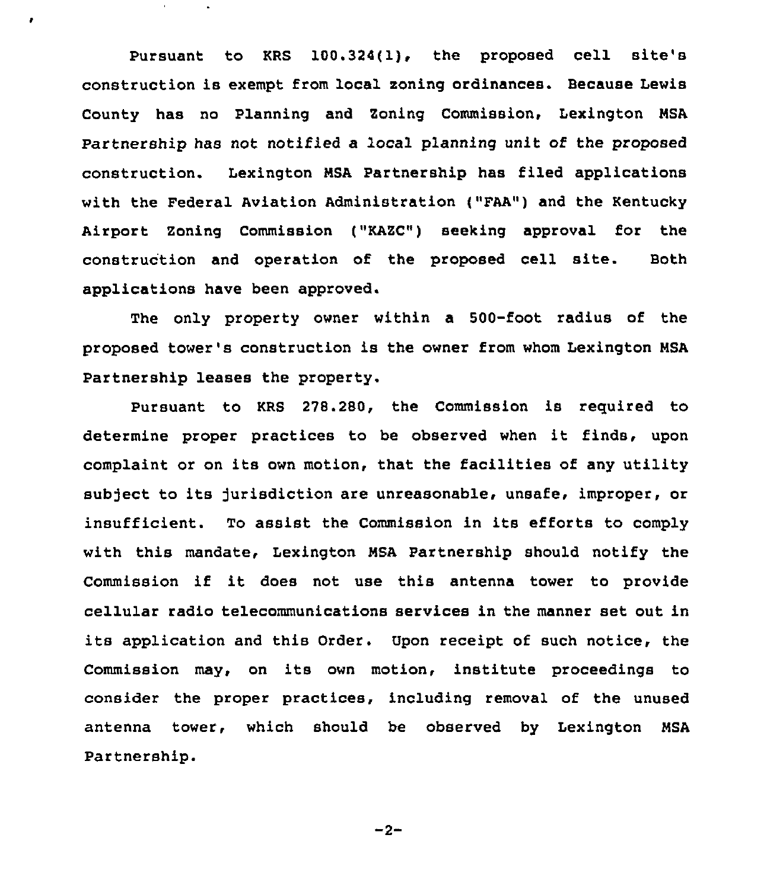Pursuant to KRS 100.324{1), the proposed cell site's construction is exempt from local zoning ordinances. Because Lewis County has no Planning and Zoning Commission, Lexington MSA Partnership has not notified a local planning unit of the proposed construction. Lexington MSA Partnership has filed applications with the Federal Aviation Administration ("FAA") and the Kentucky Airport Zoning Commission ("KAZC"} seeking approval for the construction and operation of the proposed cell site. Both applications have been approved.

×

The only property owner within a 500-foot radius of the proposed tower's construction is the owner from whom Lexington MSA Partnership leases the property.

Pursuant to KRS 278.280, the Commission is reguired to determine proper practices to be observed when it finds, upon complaint or on its own motion, that the facilities of any utility subject to its jurisdiction are unreasonable, unsafe, improper, or insufficient. To assist the Commission in its efforts to comply with this mandate, Lexington MSA Partnership should notify the Commission if it does not use this antenna tower to provide cellular radio telecommunications services in the manner set out in its application and this Order. Upon receipt of such notice, the Commission may, on its own motion, institute proceedings to consider the proper practices, including removal of the unused antenna tower, which should be observed by Lexington MSA Partnership.

 $-2-$